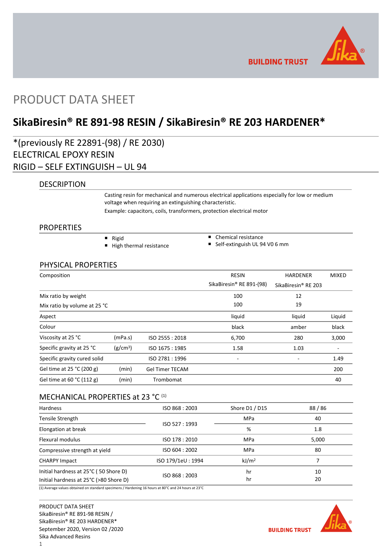

**BUILDING TRUST** 

# PRODUCT DATA SHEET

# **SikaBiresin® RE 891-98 RESIN / SikaBiresin® RE 203 HARDENER\***

\*(previously RE 22891-(98) / RE 2030) ELECTRICAL EPOXY RESIN RIGID – SELF EXTINGUISH – UL 94

### DESCRIPTION

Casting resin for mechanical and numerous electrical applications especially for low or medium voltage when requiring an extinguishing characteristic.

Example: capacitors, coils, transformers, protection electrical motor

### **PROPERTIES**

- Rigid  $\blacksquare$  High thermal resistance
- Chemical resistance
- Self-extinguish UL 94 V0 6 mm

### PHYSICAL PROPERTIES

| Composition                  |                      |                        | <b>RESIN</b>             | <b>HARDENER</b>                 | <b>MIXED</b> |
|------------------------------|----------------------|------------------------|--------------------------|---------------------------------|--------------|
|                              |                      |                        | SikaBiresin® RE 891-(98) | SikaBiresin <sup>®</sup> RE 203 |              |
| Mix ratio by weight          |                      |                        | 100                      | 12                              |              |
| Mix ratio by volume at 25 °C |                      |                        | 100                      | 19                              |              |
| Aspect                       |                      |                        | liquid                   | liquid                          | Liquid       |
| Colour                       |                      |                        | black                    | amber                           | black        |
| Viscosity at 25 °C           | (mPa.s)              | ISO 2555: 2018         | 6,700                    | 280                             | 3,000        |
| Specific gravity at 25 °C    | (g/cm <sup>3</sup> ) | ISO 1675: 1985         | 1.58                     | 1.03                            |              |
| Specific gravity cured solid |                      | ISO 2781:1996          | ٠                        |                                 | 1.49         |
| Gel time at 25 °C (200 g)    | (min)                | <b>Gel Timer TECAM</b> |                          |                                 | 200          |
| Gel time at 60 °C (112 g)    | (min)                | Trombomat              |                          |                                 | 40           |

### MECHANICAL PROPERTIES at 23 °C (1)

| <b>Hardness</b>                                                                 | ISO 868: 2003     | Shore D1 / D15    | 88/86    |
|---------------------------------------------------------------------------------|-------------------|-------------------|----------|
| Tensile Strength                                                                |                   | <b>MPa</b>        | 40       |
| Elongation at break                                                             | ISO 527:1993      | %                 | 1.8      |
| Flexural modulus                                                                | ISO 178: 2010     | <b>MPa</b>        | 5,000    |
| Compressive strength at yield                                                   | ISO 604: 2002     | <b>MPa</b>        | 80       |
| <b>CHARPY Impact</b>                                                            | ISO 179/1eU: 1994 | kJ/m <sup>2</sup> |          |
| Initial hardness at 25°C (50 Shore D)<br>Initial hardness at 25°C (>80 Shore D) | ISO 868: 2003     | hr<br>hr          | 10<br>20 |

(1) Average values obtained on standard specimens / Hardening 16 hours at 80°C and 24 hours at 23°C

PRODUCT DATA SHEET SikaBiresin® RE 891-98 RESIN / SikaBiresin® RE 203 HARDENER\* September 2020, Version 02 /2020 Sika Advanced Resins



**BUILDING TRUST**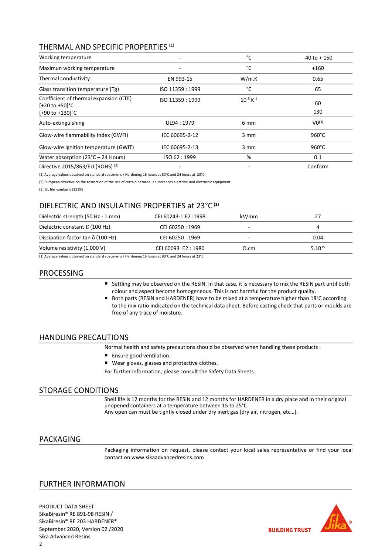# THERMAL AND SPECIFIC PROPERTIES (1)

| Working temperature                                                                     |                 | °C                  | $-40$ to $+150$ |
|-----------------------------------------------------------------------------------------|-----------------|---------------------|-----------------|
| Maximun working temperature                                                             | -               | °C                  | $+160$          |
| Thermal conductivity                                                                    | EN 993-15       | W/m.K               | 0.65            |
| Glass transition temperature (Tg)                                                       | ISO 11359: 1999 | °C                  | 65              |
| Coefficient of thermal expansion (CTE)<br>$[-20 \text{ to } +50]$ °C<br>[+90 to +130]°C | ISO 11359: 1999 | $10^{-6}$ K $^{-1}$ | 60<br>130       |
| Auto-extinguishing                                                                      | UL94: 1979      | 6 mm                | $VO^{(3)}$      |
| Glow-wire flammability index (GWFI)                                                     | IEC 60695-2-12  | $3 \, \text{mm}$    | $960^{\circ}$ C |
| Glow-wire ignition temperature (GWIT)                                                   | IEC 60695-2-13  | $3 \, \text{mm}$    | $960^{\circ}$ C |
| Water absorption $(23^{\circ}C - 24$ Hours)                                             | ISO 62:1999     | %                   | 0.1             |
| Directive 2015/863/EU (ROHS) <sup>(2)</sup>                                             |                 |                     | Conform         |

(1) Average values obtained on standard specimens / Hardening 16 hours at 80°C and 24 hours at 23°C.

(2) European directive on the restriction of the use of certain hazardous substances electrical and electronic equipment.

(3) UL file number E113398

# DIELECTRIC AND INSULATING PROPERTIES at 23°C **(1)**

| Dielectric strength (50 Hz - 1 mm)       | CEI 60243-1 E2:1998 | kV/mm        | 27          |
|------------------------------------------|---------------------|--------------|-------------|
| Dielectric constant $\epsilon$ (100 Hz)  | CEI 60250 : 1969    |              |             |
| Dissipation factor tan $\delta$ (100 Hz) | CEI 60250 : 1969    |              | 0.04        |
| Volume resistivity (1.000 V)             | CEI 60093 E2:1980   | $\Omega$ .cm | $5.10^{15}$ |

(1) Average values obtained on standard specimens / Hardening 16 hours at 80°C and 24 hours at 23°C

# PROCESSING

- Settling may be observed on the RESIN. In that case, it is necessary to mix the RESIN part until both colour and aspect become homogeneous. This is not harmful for the product quality.
- Both parts (RESIN and HARDENER) have to be mixed at a temperature higher than 18°C according to the mix ratio indicated on the technical data sheet. Before casting check that parts or moulds are free of any trace of moisture.

### HANDLING PRECAUTIONS

Normal health and safety precautions should be observed when handling these products :

- **Ensure good ventilation.**
- Wear gloves, glasses and protective clothes.

For further information, please consult the Safety Data Sheets.

## STORAGE CONDITIONS

Shelf life is 12 months for the RESIN and 12 months for HARDENER in a dry place and in their original unopened containers at a temperature between 15 to 25°C. Any open can must be tightly closed under dry inert gas (dry air, nitrogen, etc…).

### PACKAGING

Packaging information on request, please contact your local sales representative or find your local contact on [www.sikaadvancedresins.com](http://www.sikaadvancedresins.com/)

# FURTHER INFORMATION

PRODUCT DATA SHEET SikaBiresin® RE 891-98 RESIN / SikaBiresin® RE 203 HARDENER\* September 2020, Version 02 /2020 Sika Advanced Resins  $\overline{2}$